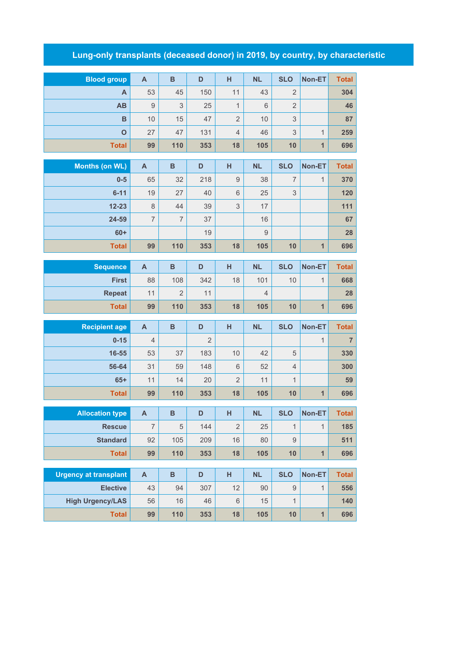## **Lung-only transplants (deceased donor) in 2019, by country, by characteristic**

| <b>Blood group</b>           | $\mathsf{A}$              | $\, {\bf B}$   | D              | н              | <b>NL</b>      | <b>SLO</b>     | Non-ET         | <b>Total</b>   |
|------------------------------|---------------------------|----------------|----------------|----------------|----------------|----------------|----------------|----------------|
| A                            | 53                        | 45             | 150            | 11             | 43             | $\overline{2}$ |                | 304            |
| AB                           | $9$                       | 3              | 25             | $\mathbf{1}$   | 6              | $\overline{2}$ |                | 46             |
| B                            | 10                        | 15             | 47             | $\overline{2}$ | 10             | 3              |                | 87             |
| $\mathbf{o}$                 | 27                        | 47             | 131            | $\overline{4}$ | 46             | 3              | $\mathbf{1}$   | 259            |
| <b>Total</b>                 | 99                        | 110            | 353            | 18             | 105            | 10             | $\overline{1}$ | 696            |
|                              |                           |                |                |                |                |                |                |                |
| <b>Months (on WL)</b>        | $\overline{A}$            | B              | D              | н              | <b>NL</b>      | <b>SLO</b>     | Non-ET         | <b>Total</b>   |
| $0-5$                        | 65                        | 32             | 218            | $\mathsf g$    | 38             | 7              | 1              | 370            |
| $6 - 11$                     | 19                        | 27             | 40             | 6              | 25             | 3              |                | 120            |
| $12 - 23$                    | $\,8\,$                   | 44             | 39             | 3              | 17             |                |                | 111            |
| 24-59                        | $\overline{7}$            | $\overline{7}$ | 37             |                | 16             |                |                | 67             |
| $60+$                        |                           |                | 19             |                | 9              |                |                | 28             |
| <b>Total</b>                 | 99                        | 110            | 353            | 18             | 105            | 10             | $\mathbf{1}$   | 696            |
| <b>Sequence</b>              | $\overline{A}$            | $\, {\bf B}$   | D              | H              | <b>NL</b>      | <b>SLO</b>     | Non-ET         | <b>Total</b>   |
| <b>First</b>                 | 88                        | 108            | 342            | 18             | 101            | 10             | $\mathbf{1}$   | 668            |
| <b>Repeat</b>                | 11                        | $\overline{2}$ | 11             |                | $\overline{4}$ |                |                | 28             |
| <b>Total</b>                 | 99                        | 110            | 353            | 18             | 105            | 10             | $\mathbf{1}$   | 696            |
|                              |                           |                |                |                |                |                |                |                |
| <b>Recipient age</b>         | $\overline{A}$            | $\, {\bf B}$   | D              | н              | <b>NL</b>      | <b>SLO</b>     | Non-ET         | <b>Total</b>   |
| $0 - 15$                     | $\overline{4}$            |                | $\overline{2}$ |                |                |                | $\mathbf{1}$   | $\overline{7}$ |
| 16-55                        | 53                        | 37             | 183            | 10             | 42             | 5              |                | 330            |
| 56-64                        | 31                        | 59             | 148            | $6\,$          | 52             | $\overline{4}$ |                | 300            |
| $65+$                        | 11                        | 14             | 20             | $\overline{2}$ | 11             | $\mathbf{1}$   |                | 59             |
| <b>Total</b>                 | 99                        | 110            | 353            | 18             | 105            | 10             | $\mathbf{1}$   | 696            |
| <b>Allocation type</b>       | A                         | B              | D              | H              | <b>NL</b>      | <b>SLO</b>     | Non-ET         | <b>Total</b>   |
| <b>Rescue</b>                | $\overline{7}$            | 5              | 144            | $\overline{2}$ | 25             | $\mathbf{1}$   | $\mathbf{1}$   | 185            |
| <b>Standard</b>              | 92                        | 105            | 209            | 16             | 80             | $\hbox{9}$     |                | 511            |
| <b>Total</b>                 | 99                        | 110            | 353            | 18             | 105            | 10             | $\mathbf{1}$   | 696            |
|                              |                           |                |                |                |                |                |                |                |
| <b>Urgency at transplant</b> | $\boldsymbol{\mathsf{A}}$ | $\, {\bf B}$   | D              | H              | <b>NL</b>      | <b>SLO</b>     | Non-ET         | <b>Total</b>   |
| <b>Elective</b>              | 43                        | 94             | 307            | 12             | 90             | $\mathsf g$    | $\mathbf{1}$   | 556            |
| <b>High Urgency/LAS</b>      | 56                        | 16             | 46             | $\,6\,$        | 15             | $\mathbf{1}$   |                | 140            |

**Total 99 110 353 18 105 10 1 696**